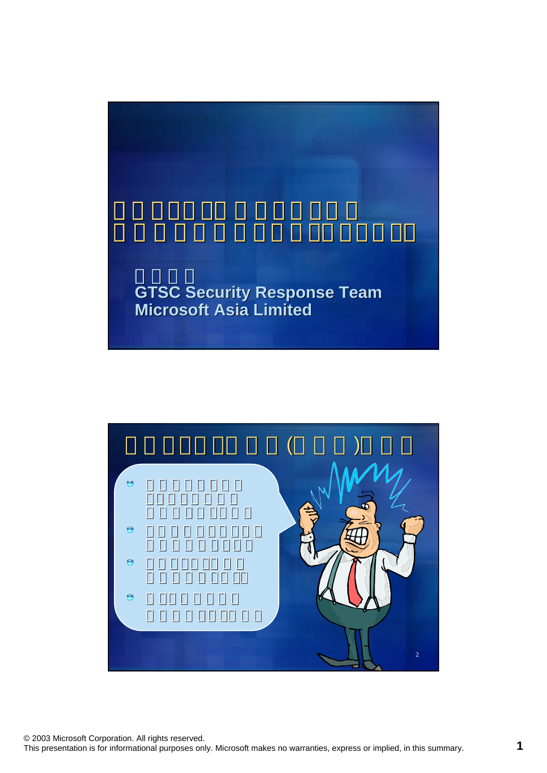

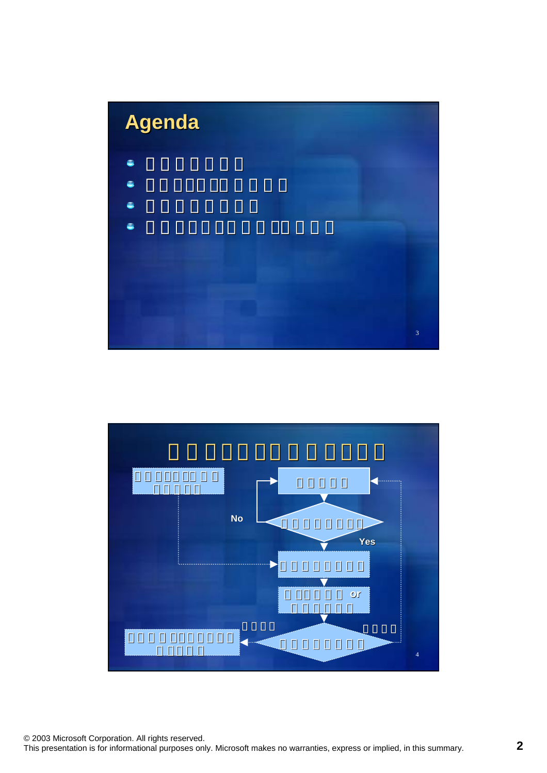

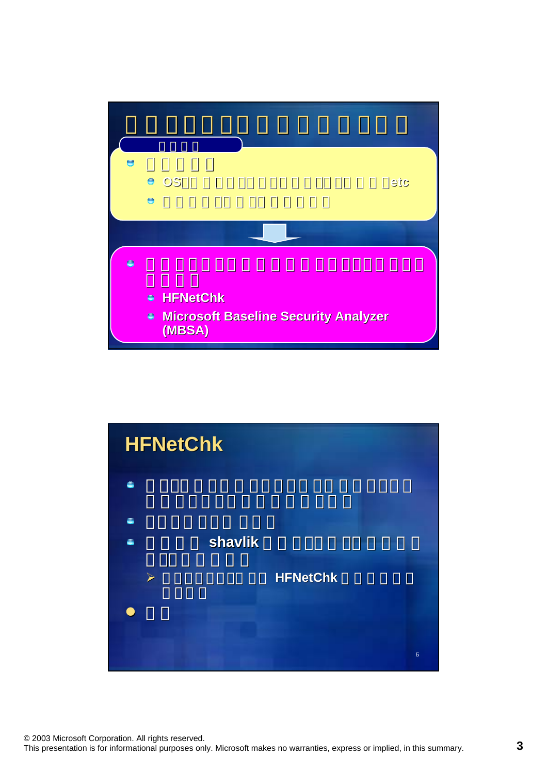| A         | $\curvearrowright$     | $-03$<br>etc                                                             |
|-----------|------------------------|--------------------------------------------------------------------------|
| $\bullet$ |                        |                                                                          |
|           | $\bullet$<br>$\bullet$ | <b>HFNetChk</b><br><b>Microsoft Baseline Security Analyzer</b><br>(MBSA) |

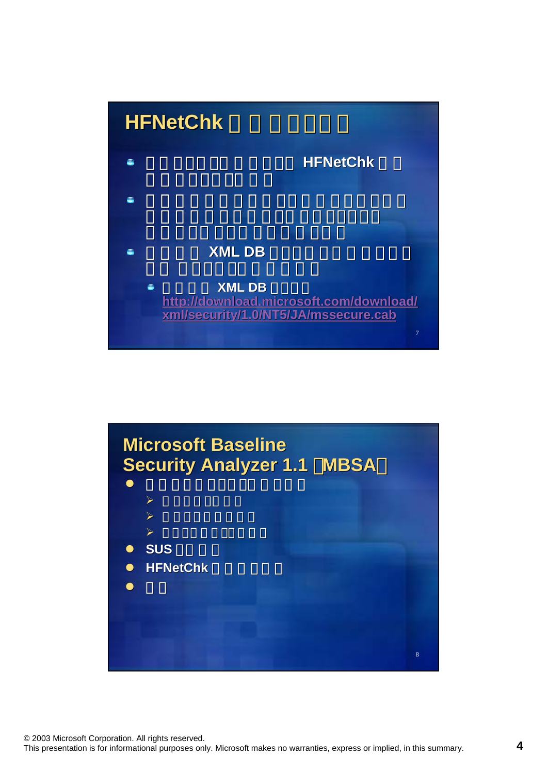

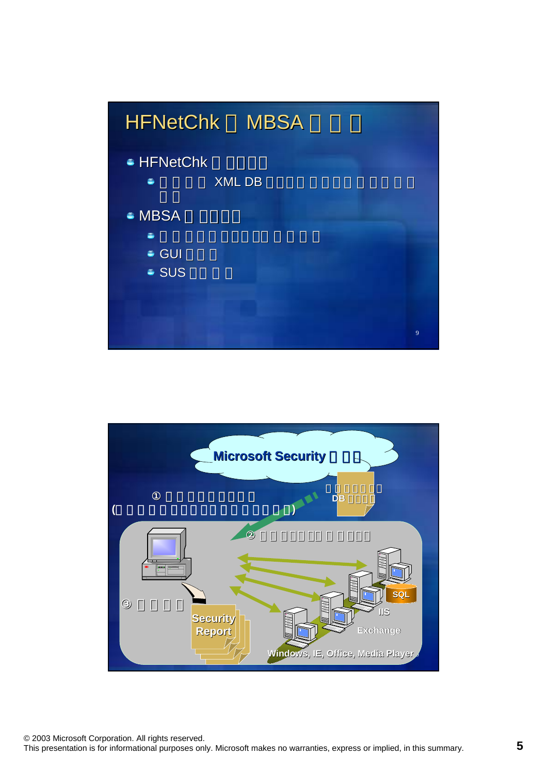

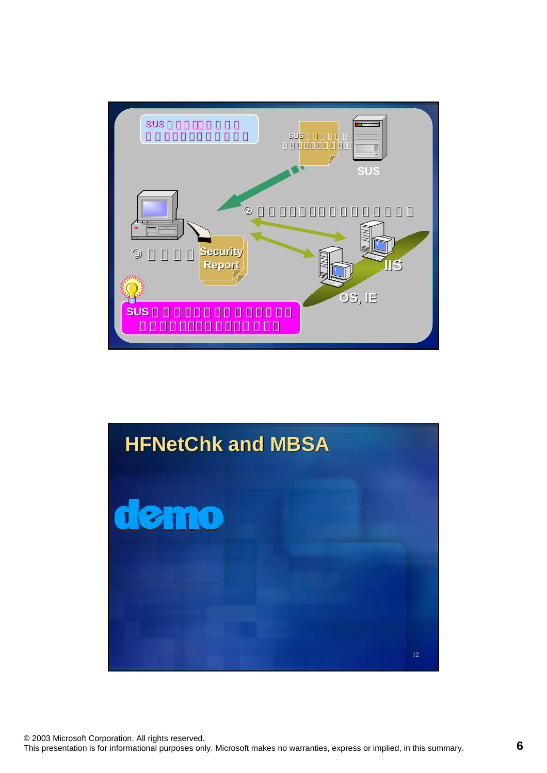

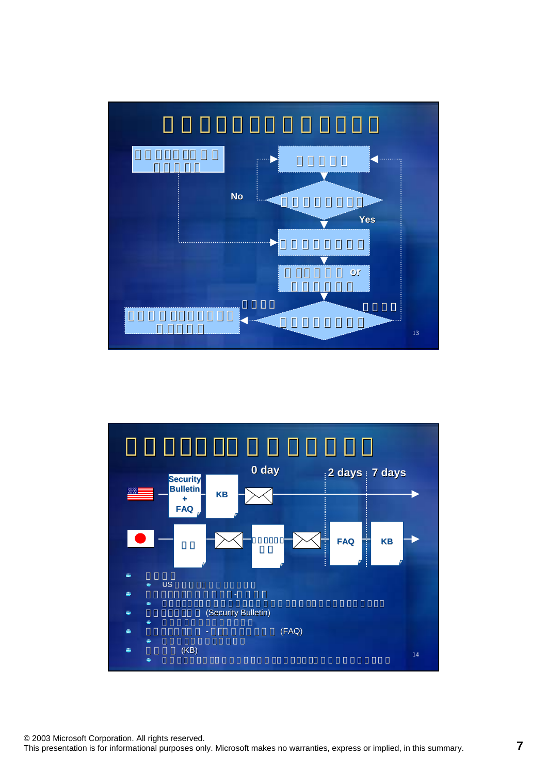

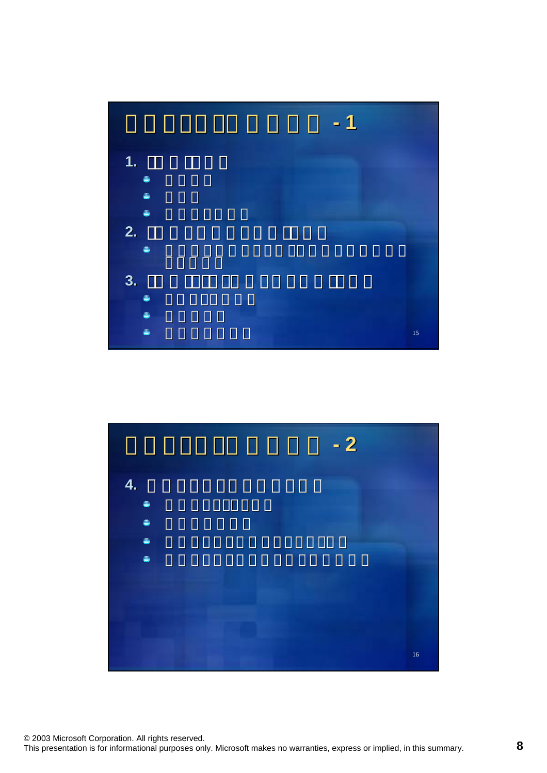

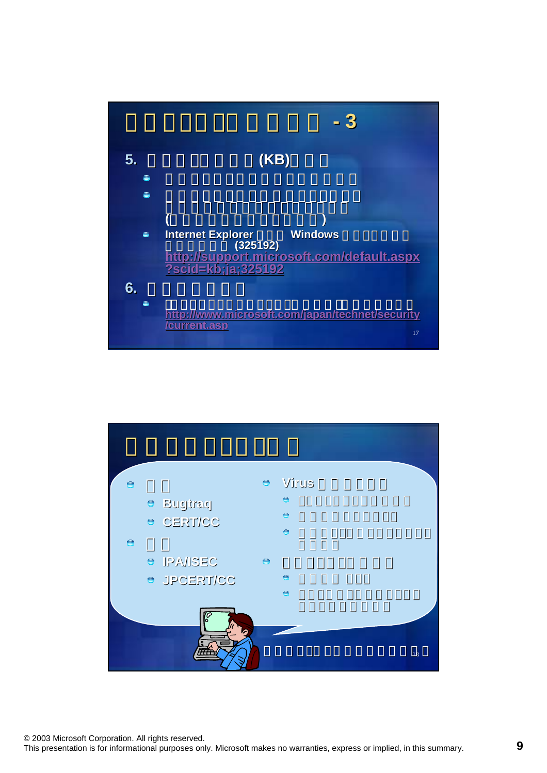

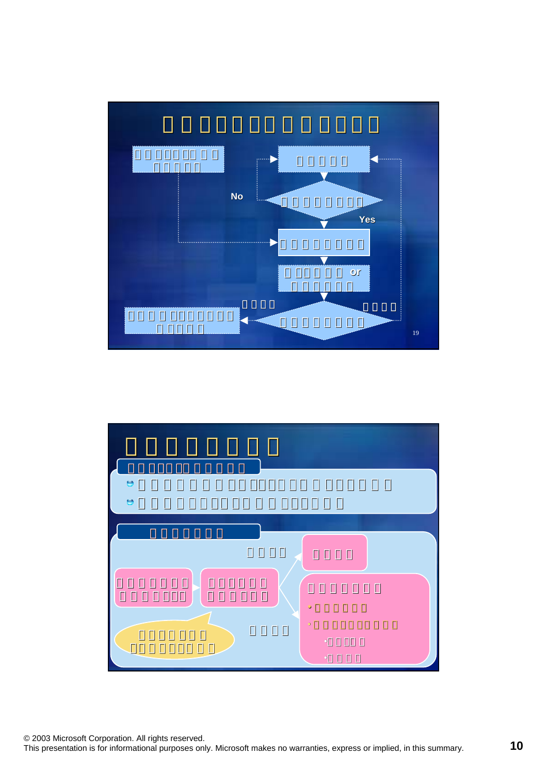

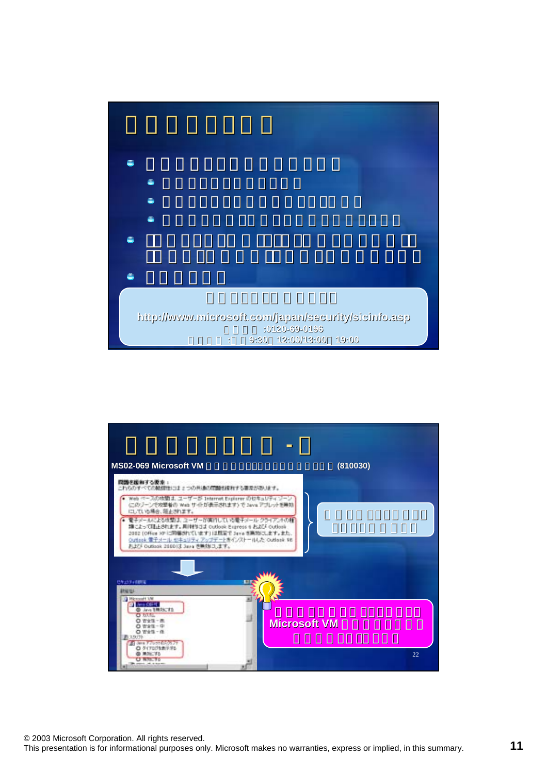

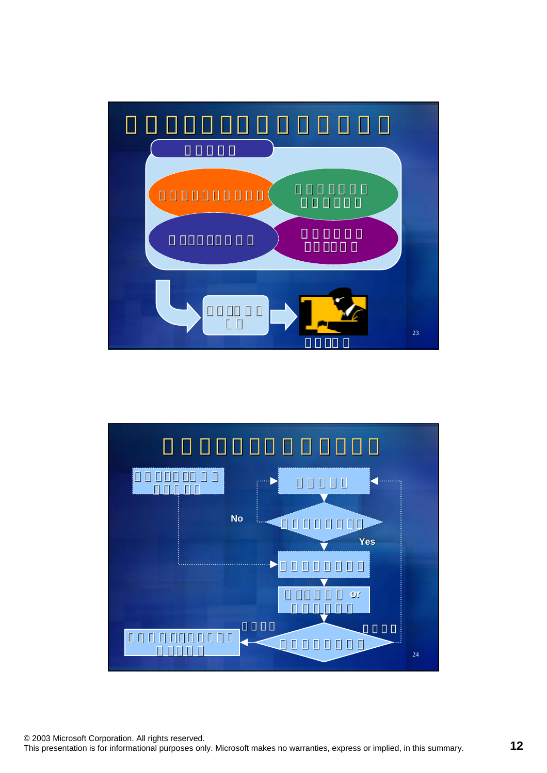

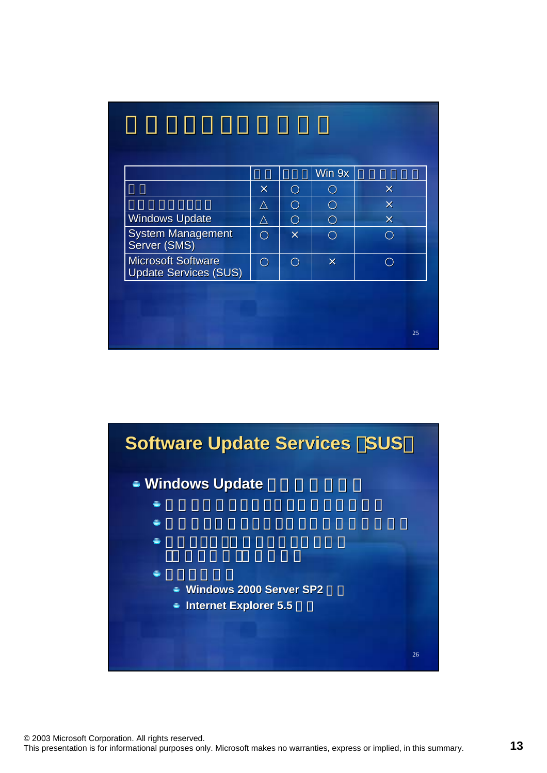|                                                           |          |                         | Win 9x   |          |  |
|-----------------------------------------------------------|----------|-------------------------|----------|----------|--|
|                                                           | $\times$ |                         |          | $\times$ |  |
|                                                           |          |                         |          | $\times$ |  |
| <b>Windows Update</b>                                     |          |                         |          | $\times$ |  |
| <b>System Management</b><br>Server (SMS)                  |          | $\overline{\mathsf{x}}$ |          |          |  |
| <b>Microsoft Software</b><br><b>Update Services (SUS)</b> |          |                         | $\times$ |          |  |

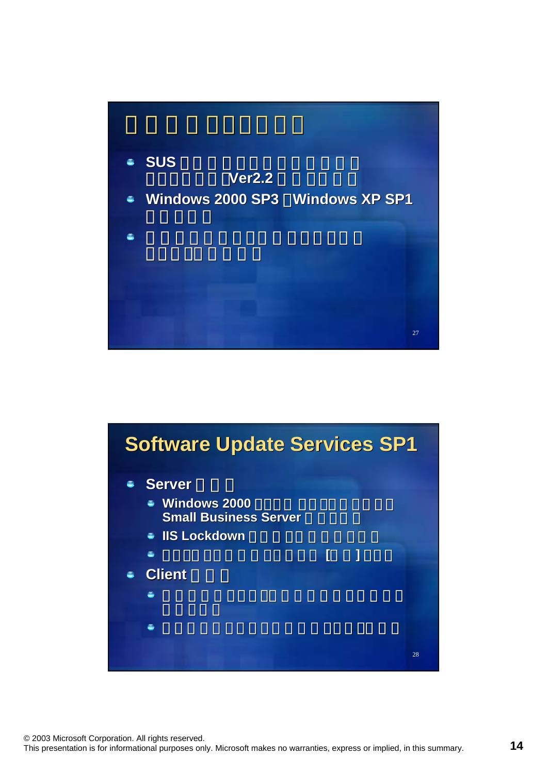

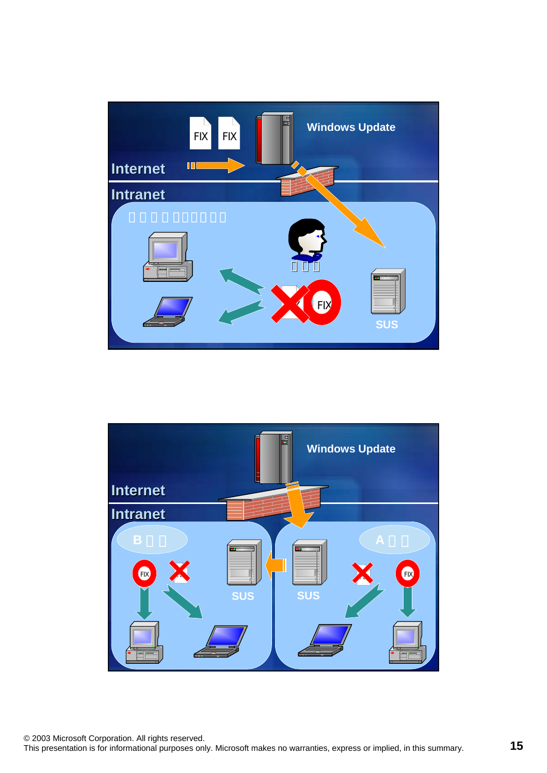

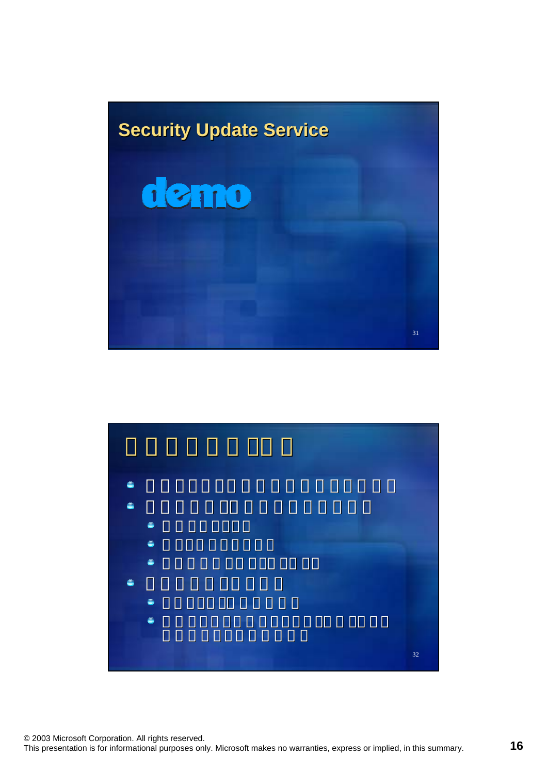

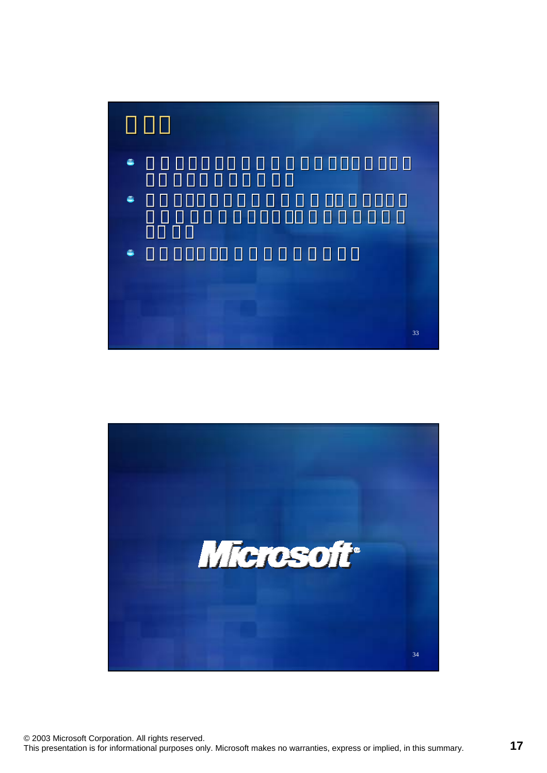

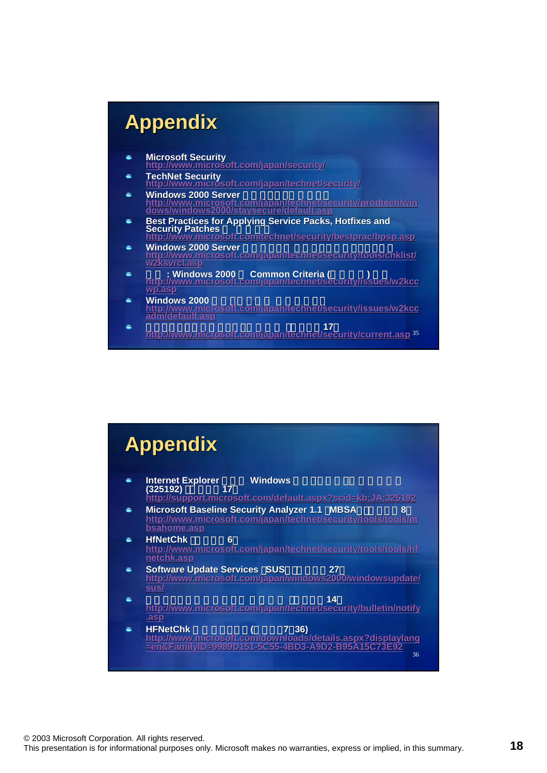## **Appendix Appendix**

- $\bullet$ **Microsoft Security http://www.microsoft.com/japan/security/**
- $\bullet$ **TechNet Security http://www.microsoft.com/japan/technet/security/**
- $\bullet$ **Windows 2000 Server Windows 2000 Server** セキュリティ運用ガイド セキュリティ運用ガイド **http://www. http://www.microsoft microsoft.com/japan/technet technet/security/ /security/prodtech/win dows/windows2000/ dows/windows2000/staysecure/default.asp**
- $\bullet$ Best Practices for Applying Service Packs, Hotfixes and<br>Security Patches<br><u>http://www.microsoft.com/technet/security/bestprac/bpsp.asp</u>
- Windows 2000 Server<br>http://www.microsoft.com/japan/technet/security/tools/chklist/  $\bullet$ **w2ksvrcl.asp**
- 概要 **: Windows 2000 Windows 2000** <sup>の</sup> **Common Criteria ( Common Criteria (**共通基準**)** 認定 **http://www. http://www.microsoft microsoft.com/japan/technet technet/security/issues/w2kcc**  $\bullet$ **wp.asp**
- **Windows 2000 Windows 2000** 評価された構成 評価された構成 管理者ガイド **http://www. http://www.microsoft microsoft.com/japan/technet technet/security/issues/w2kcc adm/default.asp**  $\bullet$

35 マイクロソフト マイクロソフト セキュリティ情報一覧 セキュリティ情報一覧 (スライド **<sup>17</sup>**) **http://www. http://www.microsoft microsoft.com/japan/technet technet/security/current.asp**

## **Appendix Appendix**

 $\bullet$ 

Internet Explorer Windows<br>(325192) 17<br>http://support.microsoft.com/default.aspx?scid=kb;JA;325192  $\bullet$ Microsoft Baseline Security Analyzer 1.1 MBSA 8<br>http://www.microsoft.com/japan/technet/security/tools/tools/m  $\bullet$ **bsahome.asp**  $\bullet$ **HfNetChk** (スライド **<sup>6</sup>**) **http://www. http://www.microsoft microsoft.com/japan/technet technet/security/tools/tools/ /security/tools/tools/hf netchk.asp Software Update Services SUS**<br>
http://www.microsoft.com/japan/windows2000/windowsupdate/  $\bullet$ **sus/**  $\bullet$ セキュリティ 警告サービス 日本語版 (スライド **<sup>14</sup>**) **http://www. http://www.microsoft microsoft.com/japan/technet technet/security/bulletin/notify .asp HFNetChk** 管理スクリプト 管理スクリプト**(**スライド**7**、**36)** a.

**http://www. http://www.microsoft microsoft.com/downloads/details. .com/downloads/details.aspx?displaylang =en&FamilyID=9989D151-5C55-4BD3-A9D2-B95A15C73E92**